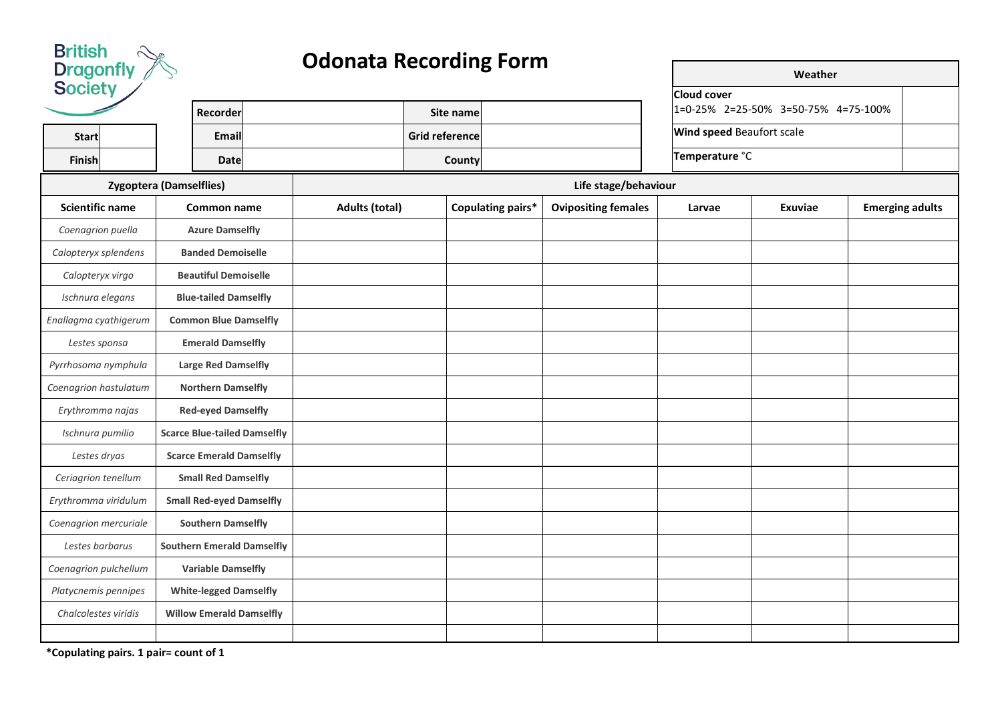

## **Odonata Recording Form**

| <b>Society</b>         |                                     |                       |                       |                   |                            | <b>Cloud cover</b>               |                                     |                        |
|------------------------|-------------------------------------|-----------------------|-----------------------|-------------------|----------------------------|----------------------------------|-------------------------------------|------------------------|
|                        | Recorder                            |                       | Site name             |                   |                            |                                  | 1=0-25% 2=25-50% 3=50-75% 4=75-100% |                        |
| <b>Start</b>           | Email                               |                       | <b>Grid reference</b> |                   |                            | <b>Wind speed Beaufort scale</b> |                                     |                        |
| Finish                 | <b>Date</b>                         |                       | County                |                   |                            | Temperature °C                   |                                     |                        |
|                        | <b>Zygoptera (Damselflies)</b>      |                       |                       |                   | Life stage/behaviour       |                                  |                                     |                        |
| <b>Scientific name</b> | Common name                         | <b>Adults (total)</b> |                       | Copulating pairs* | <b>Ovipositing females</b> | Larvae                           | Exuviae                             | <b>Emerging adults</b> |
| Coenagrion puella      | <b>Azure Damselfly</b>              |                       |                       |                   |                            |                                  |                                     |                        |
| Calopteryx splendens   | <b>Banded Demoiselle</b>            |                       |                       |                   |                            |                                  |                                     |                        |
| Calopteryx virgo       | <b>Beautiful Demoiselle</b>         |                       |                       |                   |                            |                                  |                                     |                        |
| Ischnura elegans       | <b>Blue-tailed Damselfly</b>        |                       |                       |                   |                            |                                  |                                     |                        |
| Enallagma cyathigerum  | <b>Common Blue Damselfly</b>        |                       |                       |                   |                            |                                  |                                     |                        |
| Lestes sponsa          | <b>Emerald Damselfly</b>            |                       |                       |                   |                            |                                  |                                     |                        |
| Pyrrhosoma nymphula    | <b>Large Red Damselfly</b>          |                       |                       |                   |                            |                                  |                                     |                        |
| Coenagrion hastulatum  | <b>Northern Damselfly</b>           |                       |                       |                   |                            |                                  |                                     |                        |
| Erythromma najas       | <b>Red-eyed Damselfly</b>           |                       |                       |                   |                            |                                  |                                     |                        |
| Ischnura pumilio       | <b>Scarce Blue-tailed Damselfly</b> |                       |                       |                   |                            |                                  |                                     |                        |
| Lestes dryas           | <b>Scarce Emerald Damselfly</b>     |                       |                       |                   |                            |                                  |                                     |                        |
| Ceriagrion tenellum    | <b>Small Red Damselfly</b>          |                       |                       |                   |                            |                                  |                                     |                        |
| Erythromma viridulum   | <b>Small Red-eyed Damselfly</b>     |                       |                       |                   |                            |                                  |                                     |                        |
| Coenagrion mercuriale  | <b>Southern Damselfly</b>           |                       |                       |                   |                            |                                  |                                     |                        |
| Lestes barbarus        | <b>Southern Emerald Damselfly</b>   |                       |                       |                   |                            |                                  |                                     |                        |
| Coenagrion pulchellum  | <b>Variable Damselfly</b>           |                       |                       |                   |                            |                                  |                                     |                        |
| Platycnemis pennipes   | <b>White-legged Damselfly</b>       |                       |                       |                   |                            |                                  |                                     |                        |
| Chalcolestes viridis   | <b>Willow Emerald Damselfly</b>     |                       |                       |                   |                            |                                  |                                     |                        |
|                        |                                     |                       |                       |                   |                            |                                  |                                     |                        |

**Weather**

**\*Copulating pairs. 1 pair= count of 1**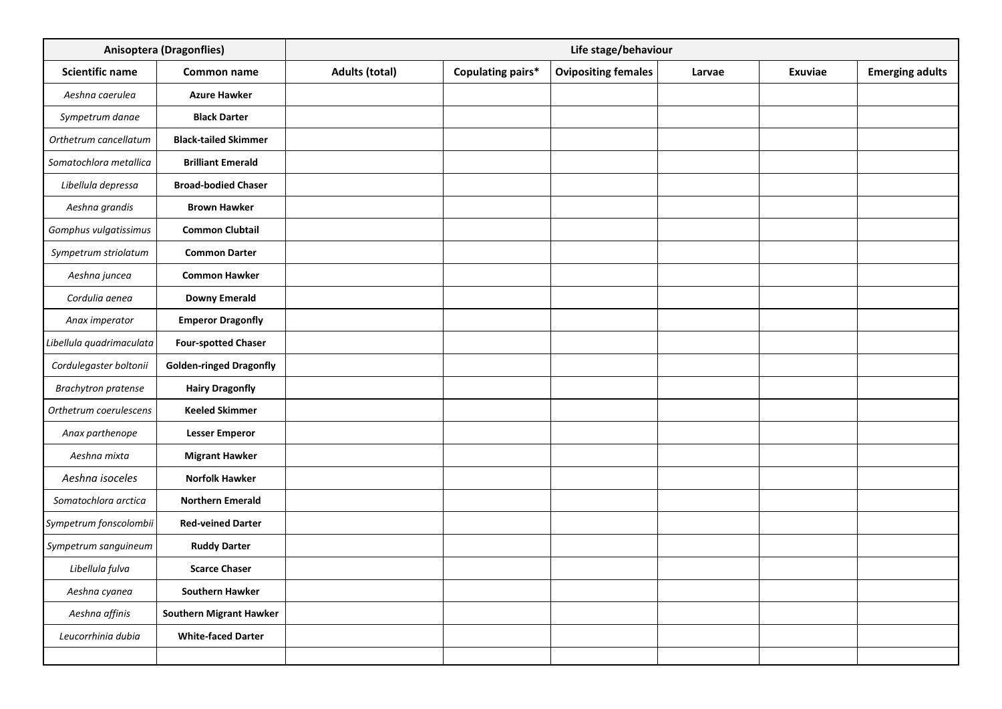|                            | <b>Anisoptera (Dragonflies)</b> |                       |                   | Life stage/behaviour       |        |         |                        |
|----------------------------|---------------------------------|-----------------------|-------------------|----------------------------|--------|---------|------------------------|
| <b>Scientific name</b>     | Common name                     | <b>Adults (total)</b> | Copulating pairs* | <b>Ovipositing females</b> | Larvae | Exuviae | <b>Emerging adults</b> |
| Aeshna caerulea            | <b>Azure Hawker</b>             |                       |                   |                            |        |         |                        |
| Sympetrum danae            | <b>Black Darter</b>             |                       |                   |                            |        |         |                        |
| Orthetrum cancellatum      | <b>Black-tailed Skimmer</b>     |                       |                   |                            |        |         |                        |
| Somatochlora metallica     | <b>Brilliant Emerald</b>        |                       |                   |                            |        |         |                        |
| Libellula depressa         | <b>Broad-bodied Chaser</b>      |                       |                   |                            |        |         |                        |
| Aeshna grandis             | <b>Brown Hawker</b>             |                       |                   |                            |        |         |                        |
| Gomphus vulgatissimus      | <b>Common Clubtail</b>          |                       |                   |                            |        |         |                        |
| Sympetrum striolatum       | <b>Common Darter</b>            |                       |                   |                            |        |         |                        |
| Aeshna juncea              | <b>Common Hawker</b>            |                       |                   |                            |        |         |                        |
| Cordulia aenea             | <b>Downy Emerald</b>            |                       |                   |                            |        |         |                        |
| Anax imperator             | <b>Emperor Dragonfly</b>        |                       |                   |                            |        |         |                        |
| Libellula quadrimaculata   | <b>Four-spotted Chaser</b>      |                       |                   |                            |        |         |                        |
| Cordulegaster boltonii     | <b>Golden-ringed Dragonfly</b>  |                       |                   |                            |        |         |                        |
| <b>Brachytron pratense</b> | <b>Hairy Dragonfly</b>          |                       |                   |                            |        |         |                        |
| Orthetrum coerulescens     | <b>Keeled Skimmer</b>           |                       |                   |                            |        |         |                        |
| Anax parthenope            | <b>Lesser Emperor</b>           |                       |                   |                            |        |         |                        |
| Aeshna mixta               | <b>Migrant Hawker</b>           |                       |                   |                            |        |         |                        |
| Aeshna isoceles            | <b>Norfolk Hawker</b>           |                       |                   |                            |        |         |                        |
| Somatochlora arctica       | <b>Northern Emerald</b>         |                       |                   |                            |        |         |                        |
| Sympetrum fonscolombii     | <b>Red-veined Darter</b>        |                       |                   |                            |        |         |                        |
| Sympetrum sanguineum       | <b>Ruddy Darter</b>             |                       |                   |                            |        |         |                        |
| Libellula fulva            | <b>Scarce Chaser</b>            |                       |                   |                            |        |         |                        |
| Aeshna cyanea              | <b>Southern Hawker</b>          |                       |                   |                            |        |         |                        |
| Aeshna affinis             | <b>Southern Migrant Hawker</b>  |                       |                   |                            |        |         |                        |
| Leucorrhinia dubia         | <b>White-faced Darter</b>       |                       |                   |                            |        |         |                        |
|                            |                                 |                       |                   |                            |        |         |                        |